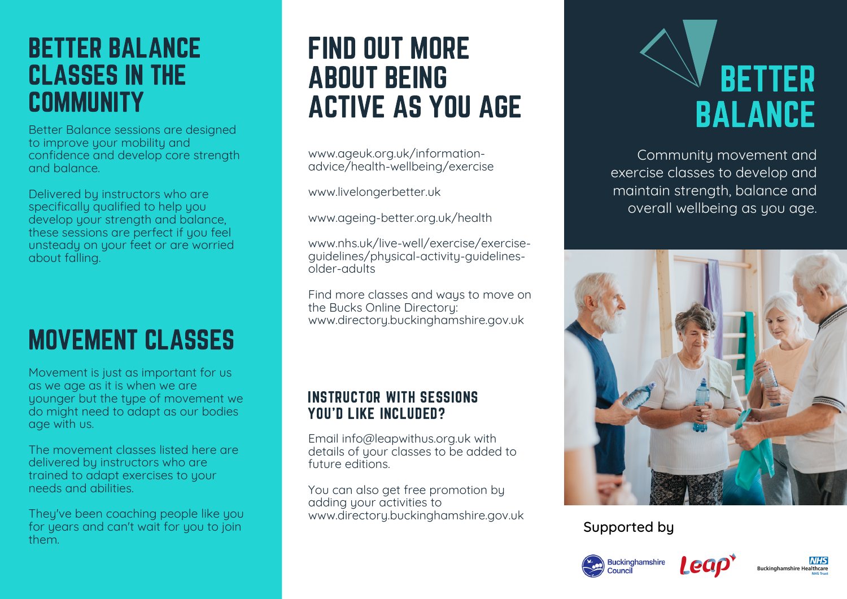## BETTER BALANCE CLASSES IN THE **COMMUNITY**

Better Balance sessions are designed to improve your mobility and confidence and develop core strength and balance.

Delivered by instructors who are specifically qualified to help you develop your strength and balance, these sessions are perfect if you feel unsteady on your feet or are worried about falling.

# MOVEMENT CLASSES

Movement is just as important for us as we age as it is when we are younger but the type of movement we do might need to adapt as our bodies age with us.

The movement classes listed here are delivered by instructors who are trained to adapt exercises to your needs and abilities.

They've been coaching people like you for years and can't wait for you to join them.

## FIND OUT MORE ABOUT BEING ACTIVE AS YOU AGE

www.ageuk.org.uk/informationadvice/health-wellbeing/exercise

www.livelongerbetter.uk

www.ageing-better.org.uk/health

www.nhs.uk/live-well/exercise/exerciseguidelines/physical-activity-guidelinesolder-adults

Find more classes and ways to move on the Bucks Online Directory: www.directory.buckinghamshire.gov.uk

#### INSTRUCTOR WITH SESSIONS YOU'D LIKE INCLUDED?

Email info@leapwithus.org.uk with details of your classes to be added to future editions.

You can also get free promotion by adding your activities to www.directory.buckinghamshire.gov.uk



Community movement and exercise classes to develop and maintain strength, balance and overall wellbeing as you age.



#### Supported by